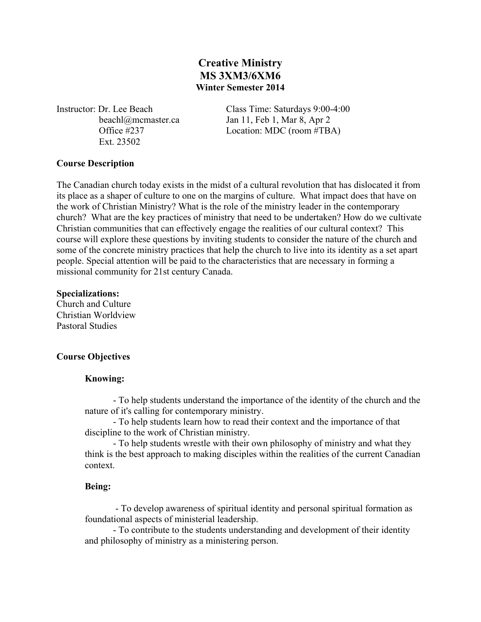# **Creative Ministry MS 3XM3/6XM6 Winter Semester 2014**

Ext. 23502

Instructor: Dr. Lee Beach Class Time: Saturdays 9:00-4:00 beachl@mcmaster.ca Jan 11, Feb 1, Mar 8, Apr 2 Office #237 Location: MDC (room #TBA)

## **Course Description**

The Canadian church today exists in the midst of a cultural revolution that has dislocated it from its place as a shaper of culture to one on the margins of culture. What impact does that have on the work of Christian Ministry? What is the role of the ministry leader in the contemporary church? What are the key practices of ministry that need to be undertaken? How do we cultivate Christian communities that can effectively engage the realities of our cultural context? This course will explore these questions by inviting students to consider the nature of the church and some of the concrete ministry practices that help the church to live into its identity as a set apart people. Special attention will be paid to the characteristics that are necessary in forming a missional community for 21st century Canada.

## **Specializations:**

Church and Culture Christian Worldview Pastoral Studies

## **Course Objectives**

## **Knowing:**

- To help students understand the importance of the identity of the church and the nature of it's calling for contemporary ministry.

- To help students learn how to read their context and the importance of that discipline to the work of Christian ministry.

- To help students wrestle with their own philosophy of ministry and what they think is the best approach to making disciples within the realities of the current Canadian context.

## **Being:**

- To develop awareness of spiritual identity and personal spiritual formation as foundational aspects of ministerial leadership.

- To contribute to the students understanding and development of their identity and philosophy of ministry as a ministering person.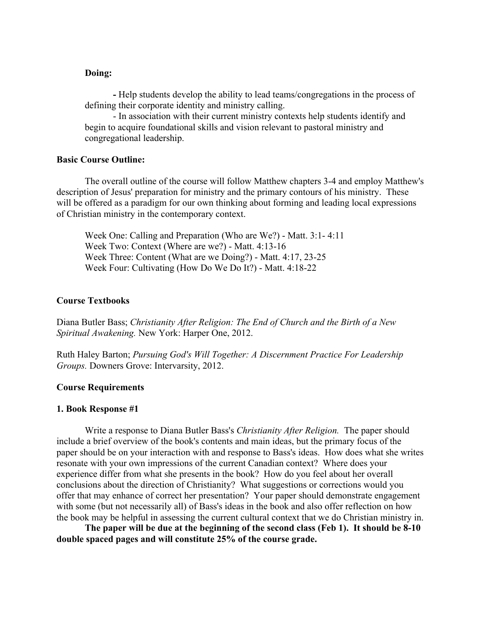## **Doing:**

**-** Help students develop the ability to lead teams/congregations in the process of defining their corporate identity and ministry calling.

- In association with their current ministry contexts help students identify and begin to acquire foundational skills and vision relevant to pastoral ministry and congregational leadership.

## **Basic Course Outline:**

The overall outline of the course will follow Matthew chapters 3-4 and employ Matthew's description of Jesus' preparation for ministry and the primary contours of his ministry. These will be offered as a paradigm for our own thinking about forming and leading local expressions of Christian ministry in the contemporary context.

Week One: Calling and Preparation (Who are We?) - Matt. 3:1- 4:11 Week Two: Context (Where are we?) - Matt. 4:13-16 Week Three: Content (What are we Doing?) - Matt. 4:17, 23-25 Week Four: Cultivating (How Do We Do It?) - Matt. 4:18-22

#### **Course Textbooks**

Diana Butler Bass; *Christianity After Religion: The End of Church and the Birth of a New Spiritual Awakening.* New York: Harper One, 2012.

Ruth Haley Barton; *Pursuing God's Will Together: A Discernment Practice For Leadership Groups.* Downers Grove: Intervarsity, 2012.

#### **Course Requirements**

#### **1. Book Response #1**

Write a response to Diana Butler Bass's *Christianity After Religion.* The paper should include a brief overview of the book's contents and main ideas, but the primary focus of the paper should be on your interaction with and response to Bass's ideas. How does what she writes resonate with your own impressions of the current Canadian context? Where does your experience differ from what she presents in the book? How do you feel about her overall conclusions about the direction of Christianity? What suggestions or corrections would you offer that may enhance of correct her presentation? Your paper should demonstrate engagement with some (but not necessarily all) of Bass's ideas in the book and also offer reflection on how the book may be helpful in assessing the current cultural context that we do Christian ministry in.

**The paper will be due at the beginning of the second class (Feb 1). It should be 8-10 double spaced pages and will constitute 25% of the course grade.**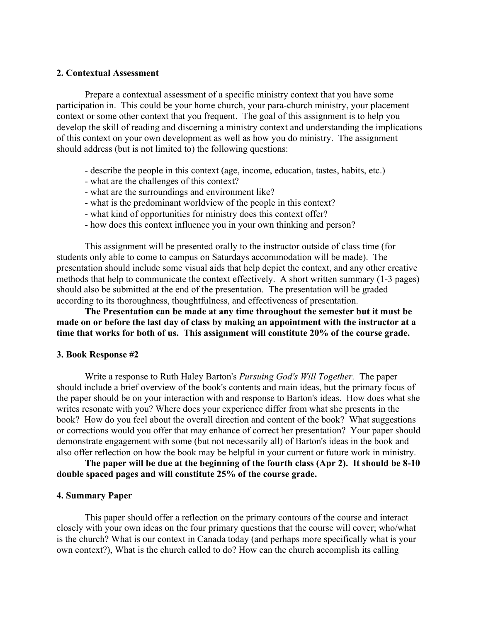#### **2. Contextual Assessment**

Prepare a contextual assessment of a specific ministry context that you have some participation in. This could be your home church, your para-church ministry, your placement context or some other context that you frequent. The goal of this assignment is to help you develop the skill of reading and discerning a ministry context and understanding the implications of this context on your own development as well as how you do ministry. The assignment should address (but is not limited to) the following questions:

- describe the people in this context (age, income, education, tastes, habits, etc.)
- what are the challenges of this context?
- what are the surroundings and environment like?
- what is the predominant worldview of the people in this context?
- what kind of opportunities for ministry does this context offer?
- how does this context influence you in your own thinking and person?

This assignment will be presented orally to the instructor outside of class time (for students only able to come to campus on Saturdays accommodation will be made). The presentation should include some visual aids that help depict the context, and any other creative methods that help to communicate the context effectively. A short written summary (1-3 pages) should also be submitted at the end of the presentation. The presentation will be graded according to its thoroughness, thoughtfulness, and effectiveness of presentation.

## **The Presentation can be made at any time throughout the semester but it must be made on or before the last day of class by making an appointment with the instructor at a time that works for both of us. This assignment will constitute 20% of the course grade.**

#### **3. Book Response #2**

Write a response to Ruth Haley Barton's *Pursuing God's Will Together.* The paper should include a brief overview of the book's contents and main ideas, but the primary focus of the paper should be on your interaction with and response to Barton's ideas. How does what she writes resonate with you? Where does your experience differ from what she presents in the book? How do you feel about the overall direction and content of the book? What suggestions or corrections would you offer that may enhance of correct her presentation? Your paper should demonstrate engagement with some (but not necessarily all) of Barton's ideas in the book and also offer reflection on how the book may be helpful in your current or future work in ministry.

**The paper will be due at the beginning of the fourth class (Apr 2). It should be 8-10 double spaced pages and will constitute 25% of the course grade.**

#### **4. Summary Paper**

This paper should offer a reflection on the primary contours of the course and interact closely with your own ideas on the four primary questions that the course will cover; who/what is the church? What is our context in Canada today (and perhaps more specifically what is your own context?), What is the church called to do? How can the church accomplish its calling